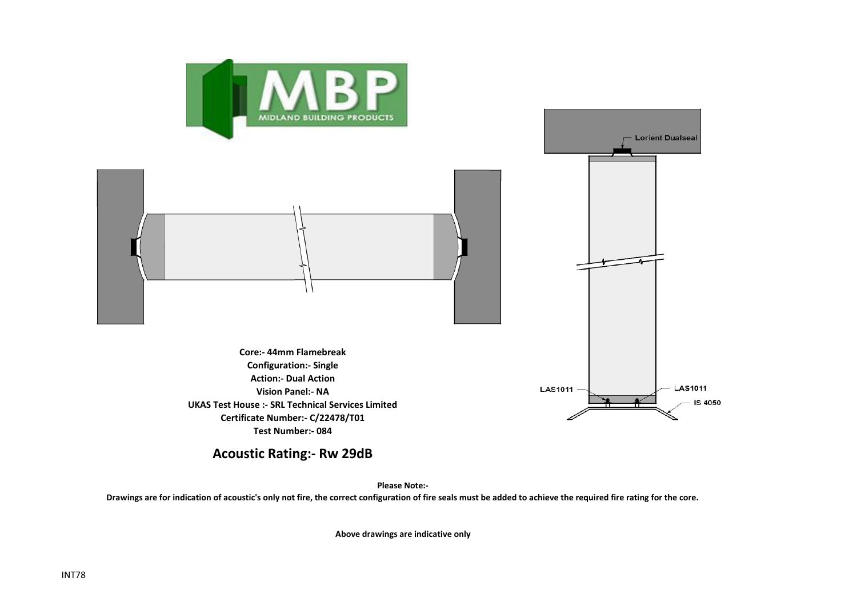

## **Acoustic Rating:- Rw 29dB**

**Please Note:-** 

**Drawings are for indication of acoustic's only not fire, the correct configuration of fire seals must be added to achieve the required fire rating for the core.**

**Above drawings are indicative only**